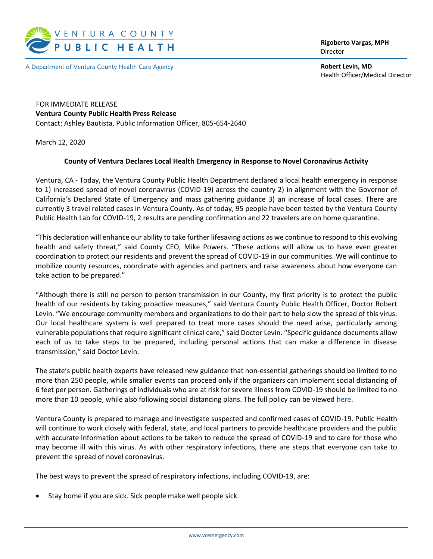

A Department of Ventura County Health Care Agency

**Rigoberto Vargas, MPH** Director

**Robert Levin, MD** Health Officer/Medical Director

 FOR IMMEDIATE RELEASE **Ventura County Public Health Press Release** Contact: Ashley Bautista, Public Information Officer, 805-654-2640

March 12, 2020

## **County of Ventura Declares Local Health Emergency in Response to Novel Coronavirus Activity**

Ventura, CA - Today, the Ventura County Public Health Department declared a local health emergency in response to 1) increased spread of novel coronavirus (COVID-19) across the country 2) in alignment with the Governor of California's Declared State of Emergency and mass gathering guidance 3) an increase of local cases. There are currently 3 travel related cases in Ventura County. As of today, 95 people have been tested by the Ventura County Public Health Lab for COVID-19, 2 results are pending confirmation and 22 travelers are on home quarantine.

"This declaration will enhance our ability to take further lifesaving actions as we continue to respond to this evolving health and safety threat," said County CEO, Mike Powers. "These actions will allow us to have even greater coordination to protect our residents and prevent the spread of COVID-19 in our communities. We will continue to mobilize county resources, coordinate with agencies and partners and raise awareness about how everyone can take action to be prepared."

"Although there is still no person to person transmission in our County, my first priority is to protect the public health of our residents by taking proactive measures," said Ventura County Public Health Officer, Doctor Robert Levin. "We encourage community members and organizations to do their part to help slow the spread of this virus. Our local healthcare system is well prepared to treat more cases should the need arise, particularly among vulnerable populations that require significant clinical care," said Doctor Levin. "Specific guidance documents allow each of us to take steps to be prepared, including personal actions that can make a difference in disease transmission," said Doctor Levin.

The state's public health experts have released new guidance that non-essential gatherings should be limited to no more than 250 people, while smaller events can proceed only if the organizers can implement social distancing of 6 feet per person. Gatherings of individuals who are at risk for severe illness from COVID-19 should be limited to no more than 10 people, while also following social distancing plans. The full policy can be viewed [here.](https://www.cdph.ca.gov/Programs/CID/DCDC/CDPH%20Document%20Library/Gathering_Guidance_03.11.20.pdf)

Ventura County is prepared to manage and investigate suspected and confirmed cases of COVID-19. Public Health will continue to work closely with federal, state, and local partners to provide healthcare providers and the public with accurate information about actions to be taken to reduce the spread of COVID-19 and to care for those who may become ill with this virus. As with other respiratory infections, there are steps that everyone can take to prevent the spread of novel coronavirus.

The best ways to prevent the spread of respiratory infections, including COVID-19, are:

• Stay home if you are sick. Sick people make well people sick.